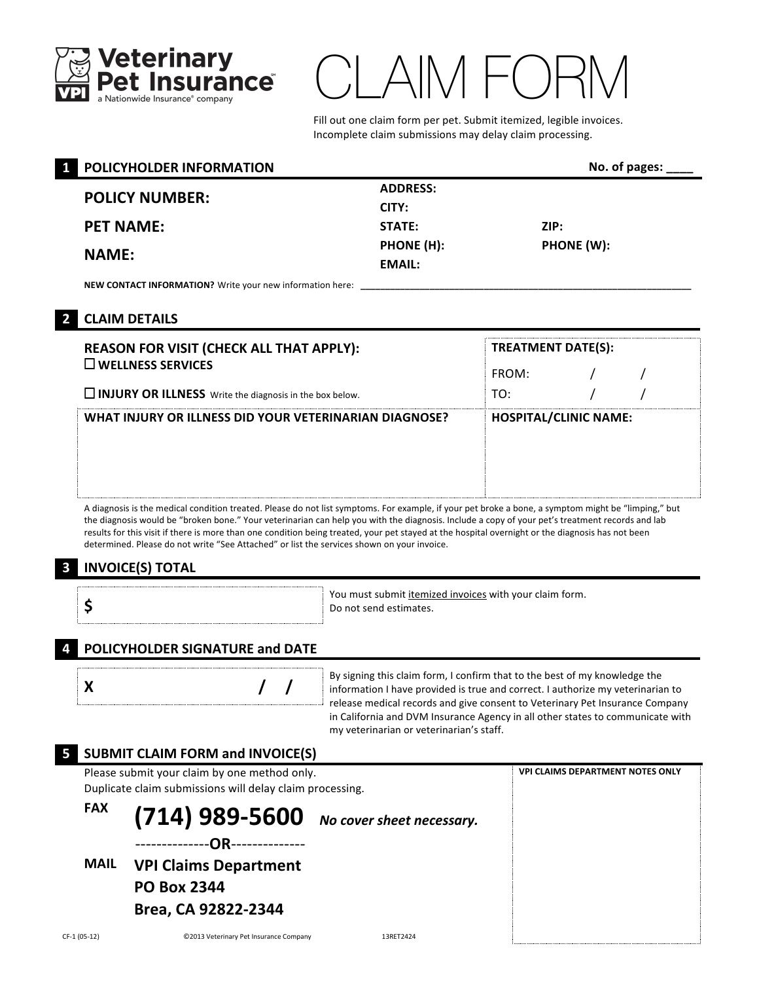

# $\Lambda / \vdash ( \ )$

Fill out one claim form per pet. Submit itemized, legible invoices. Incomplete claim submissions may delay claim processing.

|  | <b>POLICYHOLDER INFORMATION</b>                           |                 | No. of pages: |
|--|-----------------------------------------------------------|-----------------|---------------|
|  |                                                           | <b>ADDRESS:</b> |               |
|  | <b>POLICY NUMBER:</b>                                     | CITY:           |               |
|  | <b>PET NAME:</b>                                          | STATE:          | ZIP:          |
|  | <b>NAME:</b>                                              | PHONE (H):      | PHONE (W):    |
|  |                                                           | EMAIL:          |               |
|  | NEW CONTACT INFORMATION? Write your new information here: |                 |               |

## **2 CLAIM DETAILS**

| <b>REASON FOR VISIT (CHECK ALL THAT APPLY):</b>                | <b>TREATMENT DATE(S):</b>    |  |  |
|----------------------------------------------------------------|------------------------------|--|--|
| $\square$ WELLNESS SERVICES                                    | FROM:                        |  |  |
| $\Box$ INJURY OR ILLNESS Write the diagnosis in the box below. | TO:                          |  |  |
| WHAT INJURY OR ILLNESS DID YOUR VETERINARIAN DIAGNOSE?         | <b>HOSPITAL/CLINIC NAME:</b> |  |  |
|                                                                |                              |  |  |
|                                                                |                              |  |  |
|                                                                |                              |  |  |

symptoms. For example, if your pet broke a bone, a symptom might be "limping," but the diagnosis would be "broken bone." Your veterinarian can help you with the diagnosis. Include a copy of your pet's treatment records and lab results for this visit if there is more than one condition being treated, your pet stayed at the hospital overnight or the diagnosis has not been determined. Please do not write "See Attached" or list the services shown on your invoice.

## **3 INVOICE(S) TOTAL**

|  | You must submit itemized invoices with your claim form.<br>Do not send estimates. |
|--|-----------------------------------------------------------------------------------|
|  |                                                                                   |

## **4 POLICYHOLDER SIGNATURE and DATE**

|--|--|--|--|

**X**  */ / information I have provided is true and correct. I authorize my veterinarian to* By signing this claim form, I confirm that to the best of my knowledge the release medical records and give consent to Veterinary Pet Insurance Company in California and DVM Insurance Agency in all other states to communicate with my veterinarian or veterinarian's staff.

|              | <b>SUBMIT CLAIM FORM and INVOICE(S)</b>                                                                  |           |                                         |
|--------------|----------------------------------------------------------------------------------------------------------|-----------|-----------------------------------------|
|              | Please submit your claim by one method only.<br>Duplicate claim submissions will delay claim processing. |           | <b>VPI CLAIMS DEPARTMENT NOTES ONLY</b> |
| <b>FAX</b>   | (714) 989-5600 No cover sheet necessary.<br>-OR---------------                                           |           |                                         |
| <b>MAIL</b>  | <b>VPI Claims Department</b><br><b>PO Box 2344</b><br>Brea, CA 92822-2344                                |           |                                         |
| CF-1 (05-12) | ©2013 Veterinary Pet Insurance Company                                                                   | 13RFT2424 |                                         |